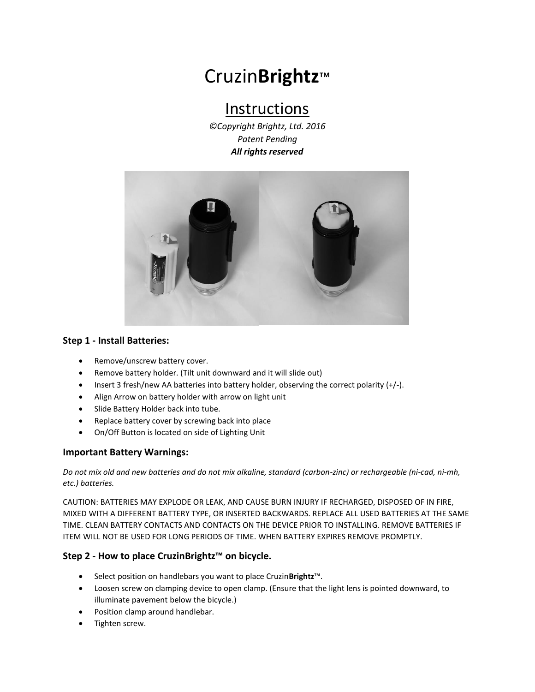# Cruzin**Brightz**™

## Instructions

*©Copyright Brightz, Ltd. 2016 Patent Pending All rights reserved*



#### **Step 1 - Install Batteries:**

- Remove/unscrew battery cover.
- Remove battery holder. (Tilt unit downward and it will slide out)
- Insert 3 fresh/new AA batteries into battery holder, observing the correct polarity (+/-).
- Align Arrow on battery holder with arrow on light unit
- Slide Battery Holder back into tube.
- Replace battery cover by screwing back into place
- On/Off Button is located on side of Lighting Unit

#### **Important Battery Warnings:**

*Do not mix old and new batteries and do not mix alkaline, standard (carbon-zinc) or rechargeable (ni-cad, ni-mh, etc.) batteries.* 

CAUTION: BATTERIES MAY EXPLODE OR LEAK, AND CAUSE BURN INJURY IF RECHARGED, DISPOSED OF IN FIRE, MIXED WITH A DIFFERENT BATTERY TYPE, OR INSERTED BACKWARDS. REPLACE ALL USED BATTERIES AT THE SAME TIME. CLEAN BATTERY CONTACTS AND CONTACTS ON THE DEVICE PRIOR TO INSTALLING. REMOVE BATTERIES IF ITEM WILL NOT BE USED FOR LONG PERIODS OF TIME. WHEN BATTERY EXPIRES REMOVE PROMPTLY.

#### **Step 2 - How to place CruzinBrightz™ on bicycle.**

- Select position on handlebars you want to place Cruzin**Brightz**™.
- Loosen screw on clamping device to open clamp. (Ensure that the light lens is pointed downward, to illuminate pavement below the bicycle.)
- Position clamp around handlebar.
- Tighten screw.